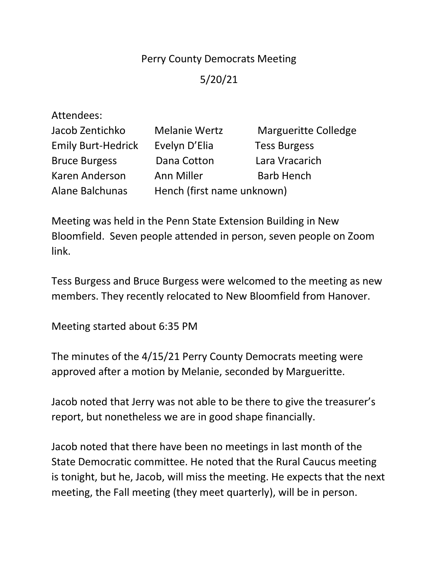## Perry County Democrats Meeting

## 5/20/21

| Attendees:                |                            |                             |
|---------------------------|----------------------------|-----------------------------|
| Jacob Zentichko           | <b>Melanie Wertz</b>       | <b>Margueritte Colledge</b> |
| <b>Emily Burt-Hedrick</b> | Evelyn D'Elia              | <b>Tess Burgess</b>         |
| <b>Bruce Burgess</b>      | Dana Cotton                | Lara Vracarich              |
| Karen Anderson            | <b>Ann Miller</b>          | <b>Barb Hench</b>           |
| <b>Alane Balchunas</b>    | Hench (first name unknown) |                             |

Meeting was held in the Penn State Extension Building in New Bloomfield. Seven people attended in person, seven people on Zoom link.

Tess Burgess and Bruce Burgess were welcomed to the meeting as new members. They recently relocated to New Bloomfield from Hanover.

Meeting started about 6:35 PM

The minutes of the 4/15/21 Perry County Democrats meeting were approved after a motion by Melanie, seconded by Margueritte.

Jacob noted that Jerry was not able to be there to give the treasurer's report, but nonetheless we are in good shape financially.

Jacob noted that there have been no meetings in last month of the State Democratic committee. He noted that the Rural Caucus meeting is tonight, but he, Jacob, will miss the meeting. He expects that the next meeting, the Fall meeting (they meet quarterly), will be in person.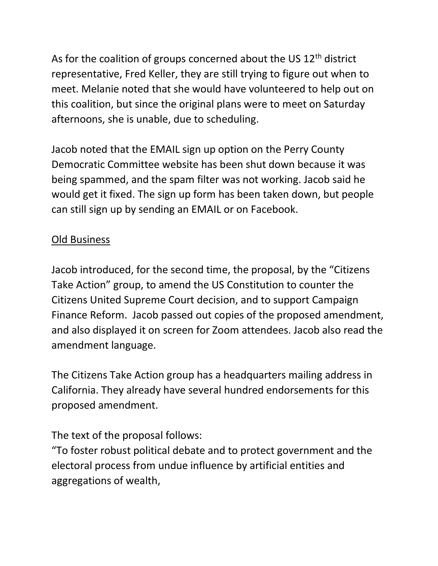As for the coalition of groups concerned about the US 12<sup>th</sup> district representative, Fred Keller, they are still trying to figure out when to meet. Melanie noted that she would have volunteered to help out on this coalition, but since the original plans were to meet on Saturday afternoons, she is unable, due to scheduling.

Jacob noted that the EMAIL sign up option on the Perry County Democratic Committee website has been shut down because it was being spammed, and the spam filter was not working. Jacob said he would get it fixed. The sign up form has been taken down, but people can still sign up by sending an EMAIL or on Facebook.

## Old Business

Jacob introduced, for the second time, the proposal, by the "Citizens Take Action" group, to amend the US Constitution to counter the Citizens United Supreme Court decision, and to support Campaign Finance Reform. Jacob passed out copies of the proposed amendment, and also displayed it on screen for Zoom attendees. Jacob also read the amendment language.

The Citizens Take Action group has a headquarters mailing address in California. They already have several hundred endorsements for this proposed amendment.

The text of the proposal follows:

"To foster robust political debate and to protect government and the electoral process from undue influence by artificial entities and aggregations of wealth,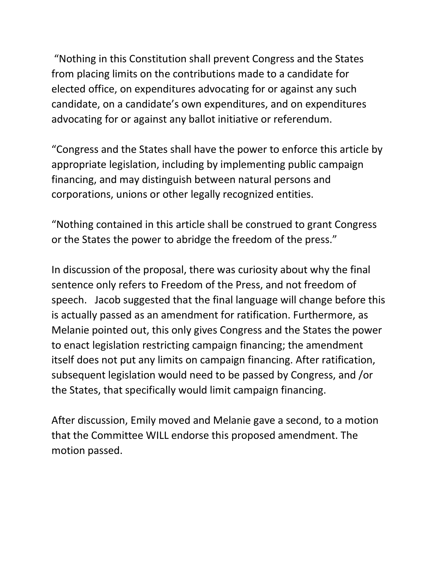"Nothing in this Constitution shall prevent Congress and the States from placing limits on the contributions made to a candidate for elected office, on expenditures advocating for or against any such candidate, on a candidate's own expenditures, and on expenditures advocating for or against any ballot initiative or referendum.

"Congress and the States shall have the power to enforce this article by appropriate legislation, including by implementing public campaign financing, and may distinguish between natural persons and corporations, unions or other legally recognized entities.

"Nothing contained in this article shall be construed to grant Congress or the States the power to abridge the freedom of the press."

In discussion of the proposal, there was curiosity about why the final sentence only refers to Freedom of the Press, and not freedom of speech. Jacob suggested that the final language will change before this is actually passed as an amendment for ratification. Furthermore, as Melanie pointed out, this only gives Congress and the States the power to enact legislation restricting campaign financing; the amendment itself does not put any limits on campaign financing. After ratification, subsequent legislation would need to be passed by Congress, and /or the States, that specifically would limit campaign financing.

After discussion, Emily moved and Melanie gave a second, to a motion that the Committee WILL endorse this proposed amendment. The motion passed.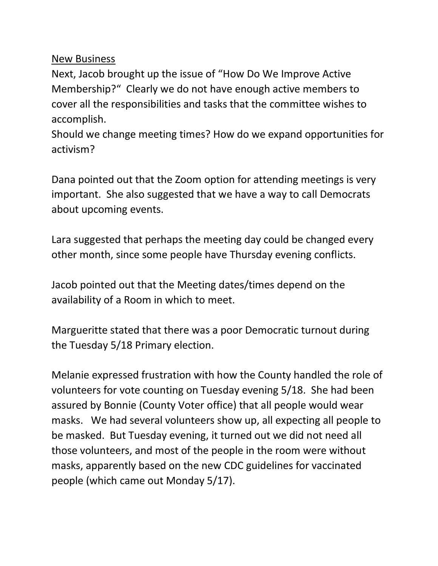## New Business

Next, Jacob brought up the issue of "How Do We Improve Active Membership?" Clearly we do not have enough active members to cover all the responsibilities and tasks that the committee wishes to accomplish.

Should we change meeting times? How do we expand opportunities for activism?

Dana pointed out that the Zoom option for attending meetings is very important. She also suggested that we have a way to call Democrats about upcoming events.

Lara suggested that perhaps the meeting day could be changed every other month, since some people have Thursday evening conflicts.

Jacob pointed out that the Meeting dates/times depend on the availability of a Room in which to meet.

Margueritte stated that there was a poor Democratic turnout during the Tuesday 5/18 Primary election.

Melanie expressed frustration with how the County handled the role of volunteers for vote counting on Tuesday evening 5/18. She had been assured by Bonnie (County Voter office) that all people would wear masks. We had several volunteers show up, all expecting all people to be masked. But Tuesday evening, it turned out we did not need all those volunteers, and most of the people in the room were without masks, apparently based on the new CDC guidelines for vaccinated people (which came out Monday 5/17).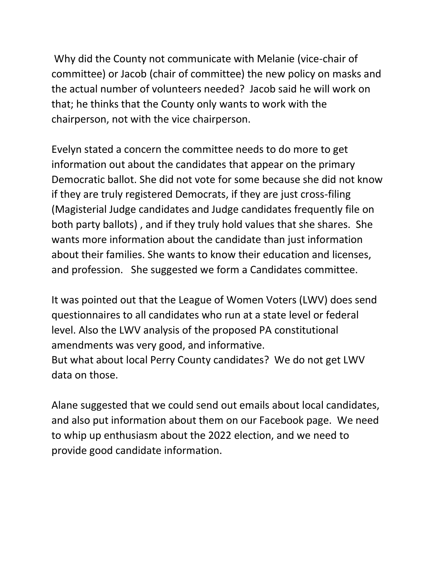Why did the County not communicate with Melanie (vice-chair of committee) or Jacob (chair of committee) the new policy on masks and the actual number of volunteers needed? Jacob said he will work on that; he thinks that the County only wants to work with the chairperson, not with the vice chairperson.

Evelyn stated a concern the committee needs to do more to get information out about the candidates that appear on the primary Democratic ballot. She did not vote for some because she did not know if they are truly registered Democrats, if they are just cross-filing (Magisterial Judge candidates and Judge candidates frequently file on both party ballots) , and if they truly hold values that she shares. She wants more information about the candidate than just information about their families. She wants to know their education and licenses, and profession. She suggested we form a Candidates committee.

It was pointed out that the League of Women Voters (LWV) does send questionnaires to all candidates who run at a state level or federal level. Also the LWV analysis of the proposed PA constitutional amendments was very good, and informative. But what about local Perry County candidates? We do not get LWV data on those.

Alane suggested that we could send out emails about local candidates, and also put information about them on our Facebook page. We need to whip up enthusiasm about the 2022 election, and we need to provide good candidate information.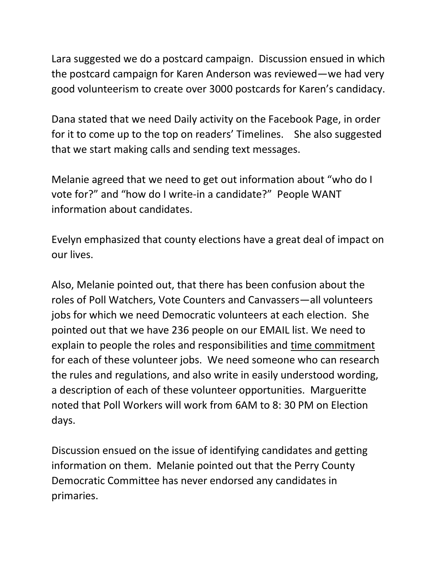Lara suggested we do a postcard campaign. Discussion ensued in which the postcard campaign for Karen Anderson was reviewed—we had very good volunteerism to create over 3000 postcards for Karen's candidacy.

Dana stated that we need Daily activity on the Facebook Page, in order for it to come up to the top on readers' Timelines. She also suggested that we start making calls and sending text messages.

Melanie agreed that we need to get out information about "who do I vote for?" and "how do I write-in a candidate?" People WANT information about candidates.

Evelyn emphasized that county elections have a great deal of impact on our lives.

Also, Melanie pointed out, that there has been confusion about the roles of Poll Watchers, Vote Counters and Canvassers—all volunteers jobs for which we need Democratic volunteers at each election. She pointed out that we have 236 people on our EMAIL list. We need to explain to people the roles and responsibilities and time commitment for each of these volunteer jobs. We need someone who can research the rules and regulations, and also write in easily understood wording, a description of each of these volunteer opportunities. Margueritte noted that Poll Workers will work from 6AM to 8: 30 PM on Election days.

Discussion ensued on the issue of identifying candidates and getting information on them. Melanie pointed out that the Perry County Democratic Committee has never endorsed any candidates in primaries.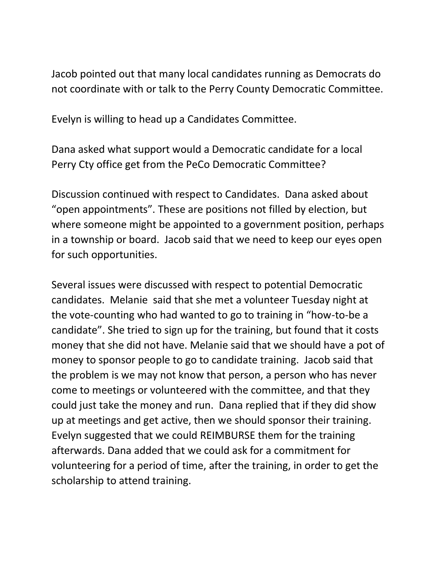Jacob pointed out that many local candidates running as Democrats do not coordinate with or talk to the Perry County Democratic Committee.

Evelyn is willing to head up a Candidates Committee.

Dana asked what support would a Democratic candidate for a local Perry Cty office get from the PeCo Democratic Committee?

Discussion continued with respect to Candidates. Dana asked about "open appointments". These are positions not filled by election, but where someone might be appointed to a government position, perhaps in a township or board. Jacob said that we need to keep our eyes open for such opportunities.

Several issues were discussed with respect to potential Democratic candidates. Melanie said that she met a volunteer Tuesday night at the vote-counting who had wanted to go to training in "how-to-be a candidate". She tried to sign up for the training, but found that it costs money that she did not have. Melanie said that we should have a pot of money to sponsor people to go to candidate training. Jacob said that the problem is we may not know that person, a person who has never come to meetings or volunteered with the committee, and that they could just take the money and run. Dana replied that if they did show up at meetings and get active, then we should sponsor their training. Evelyn suggested that we could REIMBURSE them for the training afterwards. Dana added that we could ask for a commitment for volunteering for a period of time, after the training, in order to get the scholarship to attend training.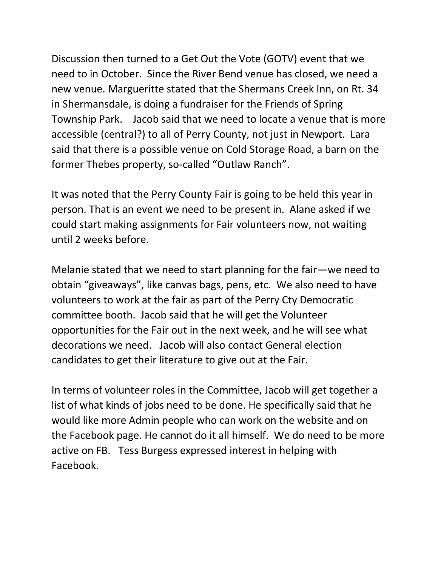Discussion then turned to a Get Out the Vote (GOTV) event that we need to in October. Since the River Bend venue has closed, we need a new venue. Margueritte stated that the Shermans Creek Inn, on Rt. 34 in Shermansdale, is doing a fundraiser for the Friends of Spring Township Park. Jacob said that we need to locate a venue that is more accessible (central?) to all of Perry County, not just in Newport. Lara said that there is a possible venue on Cold Storage Road, a barn on the former Thebes property, so-called "Outlaw Ranch".

It was noted that the Perry County Fair is going to be held this year in person. That is an event we need to be present in. Alane asked if we could start making assignments for Fair volunteers now, not waiting until 2 weeks before.

Melanie stated that we need to start planning for the fair—we need to obtain "giveaways", like canvas bags, pens, etc. We also need to have volunteers to work at the fair as part of the Perry Cty Democratic committee booth. Jacob said that he will get the Volunteer opportunities for the Fair out in the next week, and he will see what decorations we need. Jacob will also contact General election candidates to get their literature to give out at the Fair.

In terms of volunteer roles in the Committee, Jacob will get together a list of what kinds of jobs need to be done. He specifically said that he would like more Admin people who can work on the website and on the Facebook page. He cannot do it all himself. We do need to be more active on FB. Tess Burgess expressed interest in helping with Facebook.